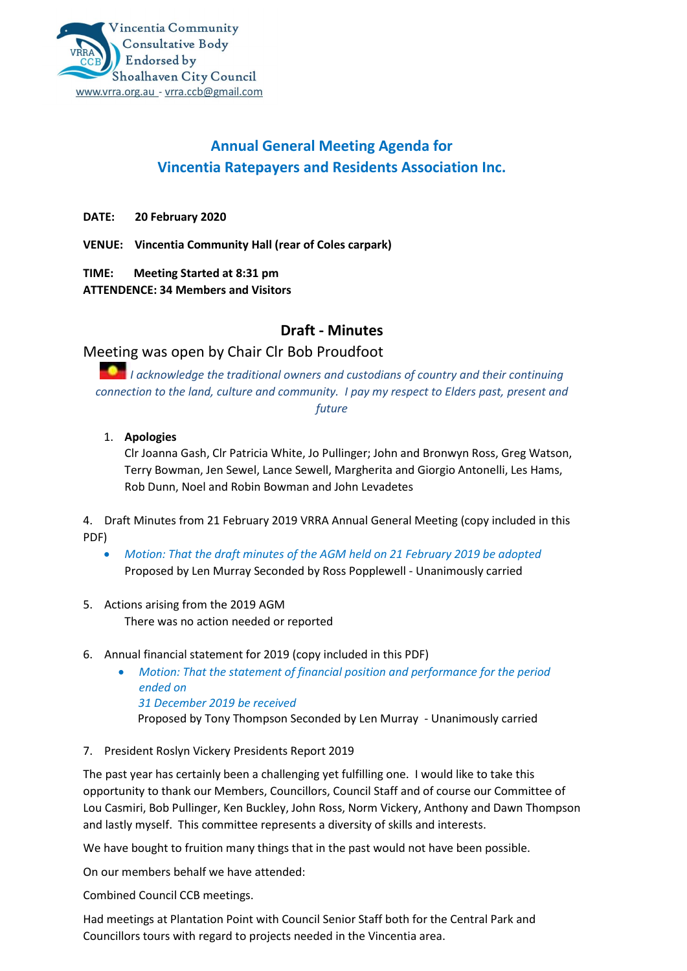# **Annual General Meeting Agenda for Vincentia Ratepayers and Residents Association Inc.**

**DATE: 20 February 2020**

**VENUE: Vincentia Community Hall (rear of Coles carpark)**

**TIME: Meeting Started at 8:31 pm ATTENDENCE: 34 Members and Visitors**

### **Draft - Minutes**

## Meeting was open by Chair Clr Bob Proudfoot

*I acknowledge the traditional owners and custodians of country and their continuing connection to the land, culture and community. I pay my respect to Elders past, present and future*

#### 1. **Apologies**

Clr Joanna Gash, Clr Patricia White, Jo Pullinger; John and Bronwyn Ross, Greg Watson, Terry Bowman, Jen Sewel, Lance Sewell, Margherita and Giorgio Antonelli, Les Hams, Rob Dunn, Noel and Robin Bowman and John Levadetes

4. Draft Minutes from 21 February 2019 VRRA Annual General Meeting (copy included in this PDF)

- *Motion: That the draft minutes of the AGM held on 21 February 2019 be adopted*  Proposed by Len Murray Seconded by Ross Popplewell - Unanimously carried
- 5. Actions arising from the 2019 AGM There was no action needed or reported

#### 6. Annual financial statement for 2019 (copy included in this PDF)

- *Motion: That the statement of financial position and performance for the period ended on 31 December 2019 be received*  Proposed by Tony Thompson Seconded by Len Murray - Unanimously carried
- 7. President Roslyn Vickery Presidents Report 2019

The past year has certainly been a challenging yet fulfilling one. I would like to take this opportunity to thank our Members, Councillors, Council Staff and of course our Committee of Lou Casmiri, Bob Pullinger, Ken Buckley, John Ross, Norm Vickery, Anthony and Dawn Thompson and lastly myself. This committee represents a diversity of skills and interests.

We have bought to fruition many things that in the past would not have been possible.

On our members behalf we have attended:

Combined Council CCB meetings.

Had meetings at Plantation Point with Council Senior Staff both for the Central Park and Councillors tours with regard to projects needed in the Vincentia area.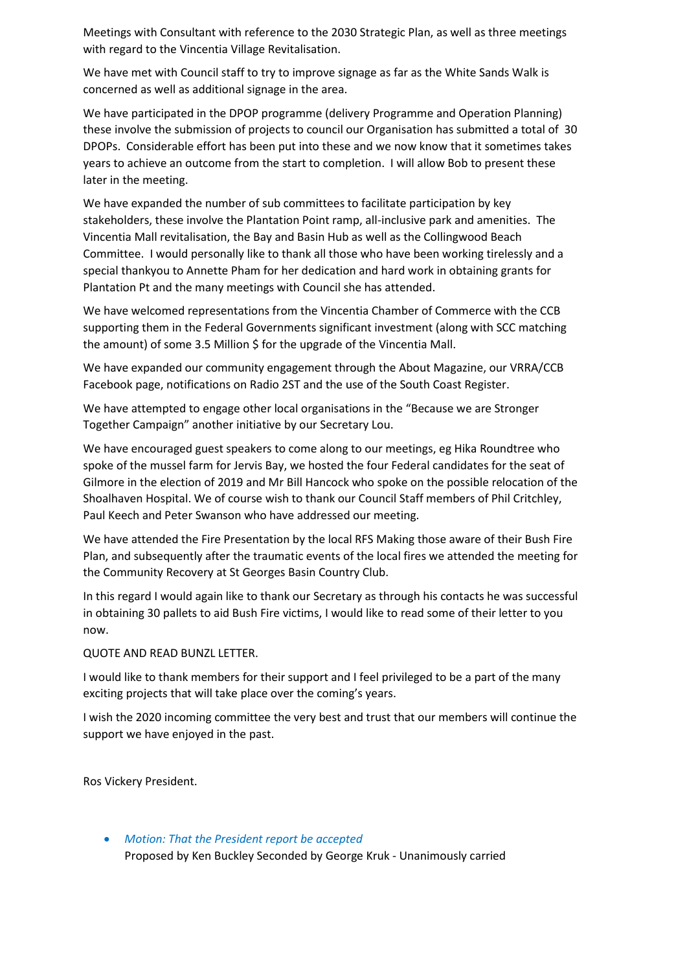Meetings with Consultant with reference to the 2030 Strategic Plan, as well as three meetings with regard to the Vincentia Village Revitalisation.

We have met with Council staff to try to improve signage as far as the White Sands Walk is concerned as well as additional signage in the area.

We have participated in the DPOP programme (delivery Programme and Operation Planning) these involve the submission of projects to council our Organisation has submitted a total of 30 DPOPs. Considerable effort has been put into these and we now know that it sometimes takes years to achieve an outcome from the start to completion. I will allow Bob to present these later in the meeting.

We have expanded the number of sub committees to facilitate participation by key stakeholders, these involve the Plantation Point ramp, all-inclusive park and amenities. The Vincentia Mall revitalisation, the Bay and Basin Hub as well as the Collingwood Beach Committee. I would personally like to thank all those who have been working tirelessly and a special thankyou to Annette Pham for her dedication and hard work in obtaining grants for Plantation Pt and the many meetings with Council she has attended.

We have welcomed representations from the Vincentia Chamber of Commerce with the CCB supporting them in the Federal Governments significant investment (along with SCC matching the amount) of some 3.5 Million \$ for the upgrade of the Vincentia Mall.

We have expanded our community engagement through the About Magazine, our VRRA/CCB Facebook page, notifications on Radio 2ST and the use of the South Coast Register.

We have attempted to engage other local organisations in the "Because we are Stronger Together Campaign" another initiative by our Secretary Lou.

We have encouraged guest speakers to come along to our meetings, eg Hika Roundtree who spoke of the mussel farm for Jervis Bay, we hosted the four Federal candidates for the seat of Gilmore in the election of 2019 and Mr Bill Hancock who spoke on the possible relocation of the Shoalhaven Hospital. We of course wish to thank our Council Staff members of Phil Critchley, Paul Keech and Peter Swanson who have addressed our meeting.

We have attended the Fire Presentation by the local RFS Making those aware of their Bush Fire Plan, and subsequently after the traumatic events of the local fires we attended the meeting for the Community Recovery at St Georges Basin Country Club.

In this regard I would again like to thank our Secretary as through his contacts he was successful in obtaining 30 pallets to aid Bush Fire victims, I would like to read some of their letter to you now.

QUOTE AND READ BUNZL LETTER.

I would like to thank members for their support and I feel privileged to be a part of the many exciting projects that will take place over the coming's years.

I wish the 2020 incoming committee the very best and trust that our members will continue the support we have enjoyed in the past.

Ros Vickery President.

• *Motion: That the President report be accepted*  Proposed by Ken Buckley Seconded by George Kruk - Unanimously carried